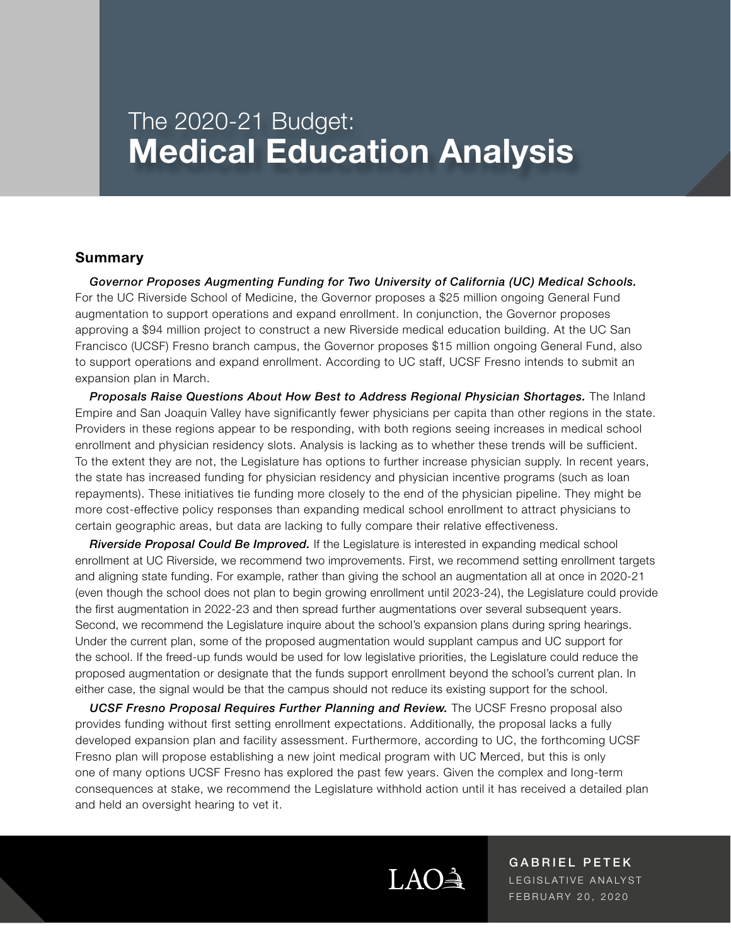# The 2020-21 Budget: **Medical Education Analysis**

#### **Summary**

*Governor Proposes Augmenting Funding for Two University of California (UC) Medical Schools.*  For the UC Riverside School of Medicine, the Governor proposes a \$25 million ongoing General Fund augmentation to support operations and expand enrollment. In conjunction, the Governor proposes approving a \$94 million project to construct a new Riverside medical education building. At the UC San Francisco (UCSF) Fresno branch campus, the Governor proposes \$15 million ongoing General Fund, also to support operations and expand enrollment. According to UC staff, UCSF Fresno intends to submit an expansion plan in March.

*Proposals Raise Questions About How Best to Address Regional Physician Shortages.* The Inland Empire and San Joaquin Valley have significantly fewer physicians per capita than other regions in the state. Providers in these regions appear to be responding, with both regions seeing increases in medical school enrollment and physician residency slots. Analysis is lacking as to whether these trends will be sufficient. To the extent they are not, the Legislature has options to further increase physician supply. In recent years, the state has increased funding for physician residency and physician incentive programs (such as loan repayments). These initiatives tie funding more closely to the end of the physician pipeline. They might be more cost-effective policy responses than expanding medical school enrollment to attract physicians to certain geographic areas, but data are lacking to fully compare their relative effectiveness.

*Riverside Proposal Could Be Improved.* If the Legislature is interested in expanding medical school enrollment at UC Riverside, we recommend two improvements. First, we recommend setting enrollment targets and aligning state funding. For example, rather than giving the school an augmentation all at once in 2020-21 (even though the school does not plan to begin growing enrollment until 2023-24), the Legislature could provide the first augmentation in 2022-23 and then spread further augmentations over several subsequent years. Second, we recommend the Legislature inquire about the school's expansion plans during spring hearings. Under the current plan, some of the proposed augmentation would supplant campus and UC support for the school. If the freed-up funds would be used for low legislative priorities, the Legislature could reduce the proposed augmentation or designate that the funds support enrollment beyond the school's current plan. In either case, the signal would be that the campus should not reduce its existing support for the school.

*UCSF Fresno Proposal Requires Further Planning and Review.* The UCSF Fresno proposal also provides funding without first setting enrollment expectations. Additionally, the proposal lacks a fully developed expansion plan and facility assessment. Furthermore, according to UC, the forthcoming UCSF Fresno plan will propose establishing a new joint medical program with UC Merced, but this is only one of many options UCSF Fresno has explored the past few years. Given the complex and long-term consequences at stake, we recommend the Legislature withhold action until it has received a detailed plan and held an oversight hearing to vet it.



GABRIEL PETEK LEGISLATIVE ANALYST FEBRUARY 20, 2020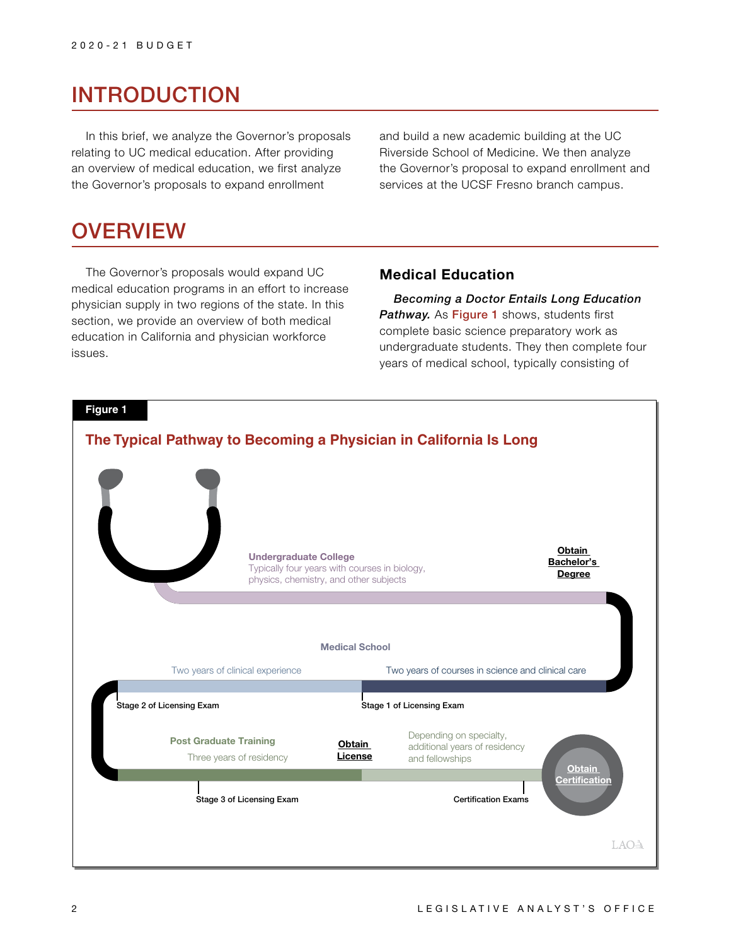## INTRODUCTION

In this brief, we analyze the Governor's proposals relating to UC medical education. After providing an overview of medical education, we first analyze the Governor's proposals to expand enrollment

and build a new academic building at the UC Riverside School of Medicine. We then analyze the Governor's proposal to expand enrollment and services at the UCSF Fresno branch campus.

## **OVERVIEW**

The Governor's proposals would expand UC medical education programs in an effort to increase physician supply in two regions of the state. In this section, we provide an overview of both medical education in California and physician workforce issues.

## **Medical Education**

*Becoming a Doctor Entails Long Education*  **Pathway.** As Figure 1 shows, students first complete basic science preparatory work as undergraduate students. They then complete four years of medical school, typically consisting of

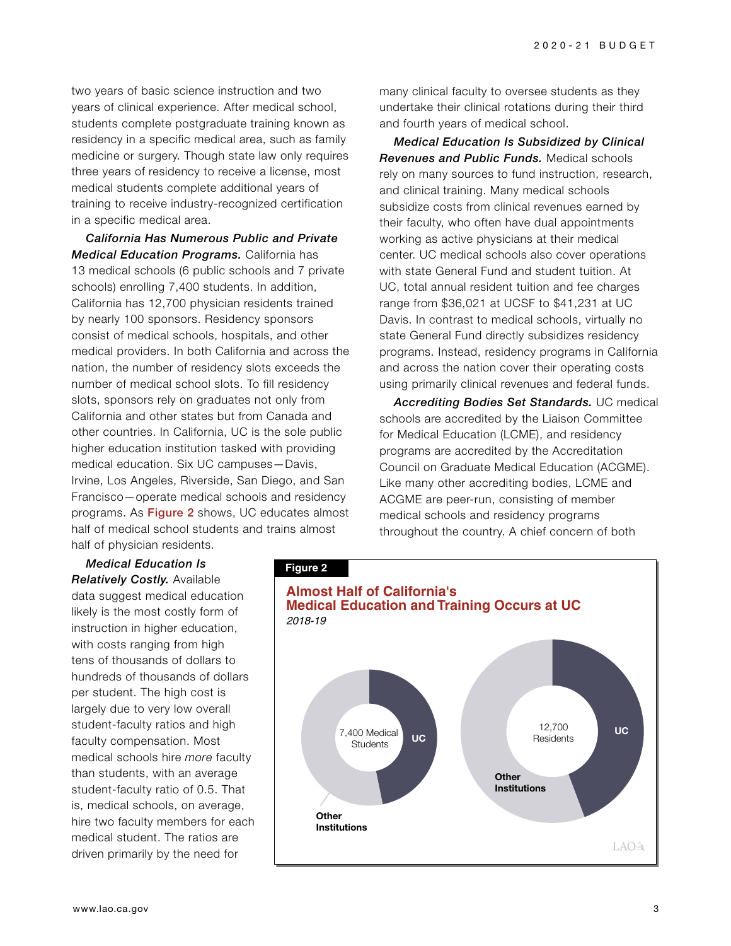two years of basic science instruction and two years of clinical experience. After medical school, students complete postgraduate training known as residency in a specific medical area, such as family medicine or surgery. Though state law only requires three years of residency to receive a license, most medical students complete additional years of training to receive industry-recognized certification in a specific medical area.

*California Has Numerous Public and Private Medical Education Programs.* California has 13 medical schools (6 public schools and 7 private schools) enrolling 7,400 students. In addition, California has 12,700 physician residents trained by nearly 100 sponsors. Residency sponsors consist of medical schools, hospitals, and other medical providers. In both California and across the nation, the number of residency slots exceeds the number of medical school slots. To fill residency slots, sponsors rely on graduates not only from California and other states but from Canada and other countries. In California, UC is the sole public higher education institution tasked with providing medical education. Six UC campuses—Davis, Irvine, Los Angeles, Riverside, San Diego, and San Francisco—operate medical schools and residency programs. As Figure 2 shows, UC educates almost half of medical school students and trains almost half of physician residents.

*Medical Education Is Relatively Costly.* Available data suggest medical education likely is the most costly form of instruction in higher education, with costs ranging from high tens of thousands of dollars to hundreds of thousands of dollars per student. The high cost is largely due to very low overall student-faculty ratios and high faculty compensation. Most medical schools hire *more* faculty than students, with an average student-faculty ratio of 0.5. That is, medical schools, on average, hire two faculty members for each medical student. The ratios are driven primarily by the need for

many clinical faculty to oversee students as they undertake their clinical rotations during their third and fourth years of medical school.

*Medical Education Is Subsidized by Clinical Revenues and Public Funds.* Medical schools rely on many sources to fund instruction, research, and clinical training. Many medical schools subsidize costs from clinical revenues earned by their faculty, who often have dual appointments working as active physicians at their medical center. UC medical schools also cover operations with state General Fund and student tuition. At UC, total annual resident tuition and fee charges range from \$36,021 at UCSF to \$41,231 at UC Davis. In contrast to medical schools, virtually no state General Fund directly subsidizes residency programs. Instead, residency programs in California and across the nation cover their operating costs using primarily clinical revenues and federal funds.

*Accrediting Bodies Set Standards.* UC medical schools are accredited by the Liaison Committee for Medical Education (LCME), and residency programs are accredited by the Accreditation Council on Graduate Medical Education (ACGME). Like many other accrediting bodies, LCME and ACGME are peer-run, consisting of member medical schools and residency programs throughout the country. A chief concern of both

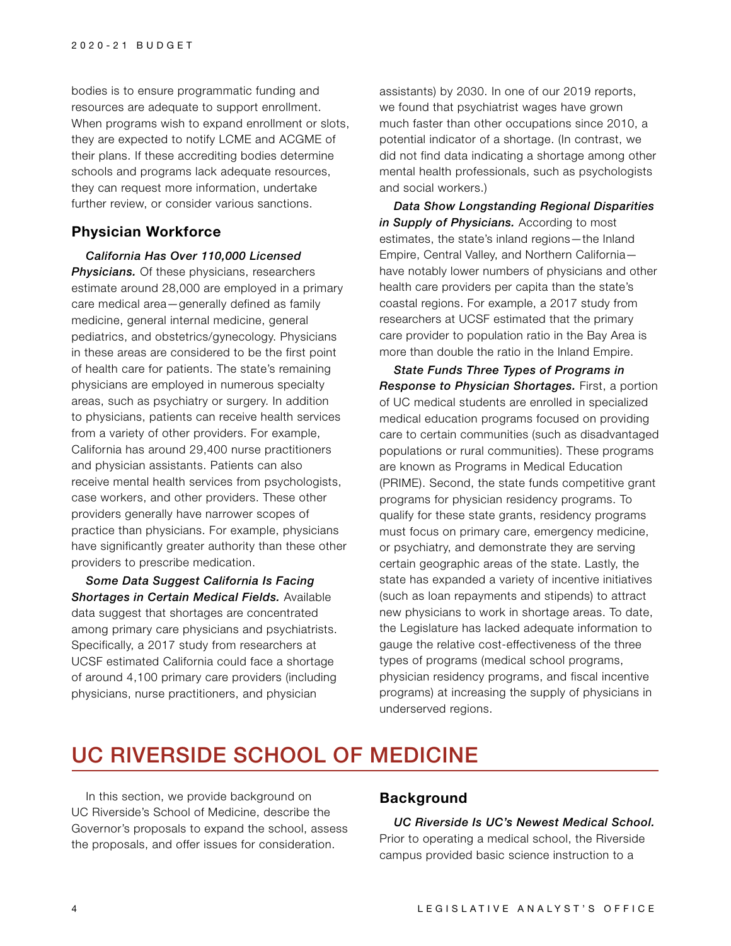bodies is to ensure programmatic funding and resources are adequate to support enrollment. When programs wish to expand enrollment or slots, they are expected to notify LCME and ACGME of their plans. If these accrediting bodies determine schools and programs lack adequate resources, they can request more information, undertake further review, or consider various sanctions.

### **Physician Workforce**

*California Has Over 110,000 Licensed*  **Physicians.** Of these physicians, researchers estimate around 28,000 are employed in a primary care medical area—generally defined as family medicine, general internal medicine, general pediatrics, and obstetrics/gynecology. Physicians in these areas are considered to be the first point of health care for patients. The state's remaining physicians are employed in numerous specialty areas, such as psychiatry or surgery. In addition to physicians, patients can receive health services from a variety of other providers. For example, California has around 29,400 nurse practitioners and physician assistants. Patients can also receive mental health services from psychologists, case workers, and other providers. These other providers generally have narrower scopes of practice than physicians. For example, physicians have significantly greater authority than these other providers to prescribe medication.

*Some Data Suggest California Is Facing Shortages in Certain Medical Fields.* Available data suggest that shortages are concentrated among primary care physicians and psychiatrists. Specifically, a 2017 study from researchers at UCSF estimated California could face a shortage of around 4,100 primary care providers (including physicians, nurse practitioners, and physician

assistants) by 2030. In one of our 2019 reports, we found that psychiatrist wages have grown much faster than other occupations since 2010, a potential indicator of a shortage. (In contrast, we did not find data indicating a shortage among other mental health professionals, such as psychologists and social workers.)

*Data Show Longstanding Regional Disparities in Supply of Physicians.* According to most estimates, the state's inland regions—the Inland Empire, Central Valley, and Northern California have notably lower numbers of physicians and other health care providers per capita than the state's coastal regions. For example, a 2017 study from researchers at UCSF estimated that the primary care provider to population ratio in the Bay Area is more than double the ratio in the Inland Empire.

*State Funds Three Types of Programs in Response to Physician Shortages.* First, a portion of UC medical students are enrolled in specialized medical education programs focused on providing care to certain communities (such as disadvantaged populations or rural communities). These programs are known as Programs in Medical Education (PRIME). Second, the state funds competitive grant programs for physician residency programs. To qualify for these state grants, residency programs must focus on primary care, emergency medicine, or psychiatry, and demonstrate they are serving certain geographic areas of the state. Lastly, the state has expanded a variety of incentive initiatives (such as loan repayments and stipends) to attract new physicians to work in shortage areas. To date, the Legislature has lacked adequate information to gauge the relative cost-effectiveness of the three types of programs (medical school programs, physician residency programs, and fiscal incentive programs) at increasing the supply of physicians in underserved regions.

## UC RIVERSIDE SCHOOL OF MEDICINE

In this section, we provide background on UC Riverside's School of Medicine, describe the Governor's proposals to expand the school, assess the proposals, and offer issues for consideration.

### **Background**

*UC Riverside Is UC's Newest Medical School.*  Prior to operating a medical school, the Riverside campus provided basic science instruction to a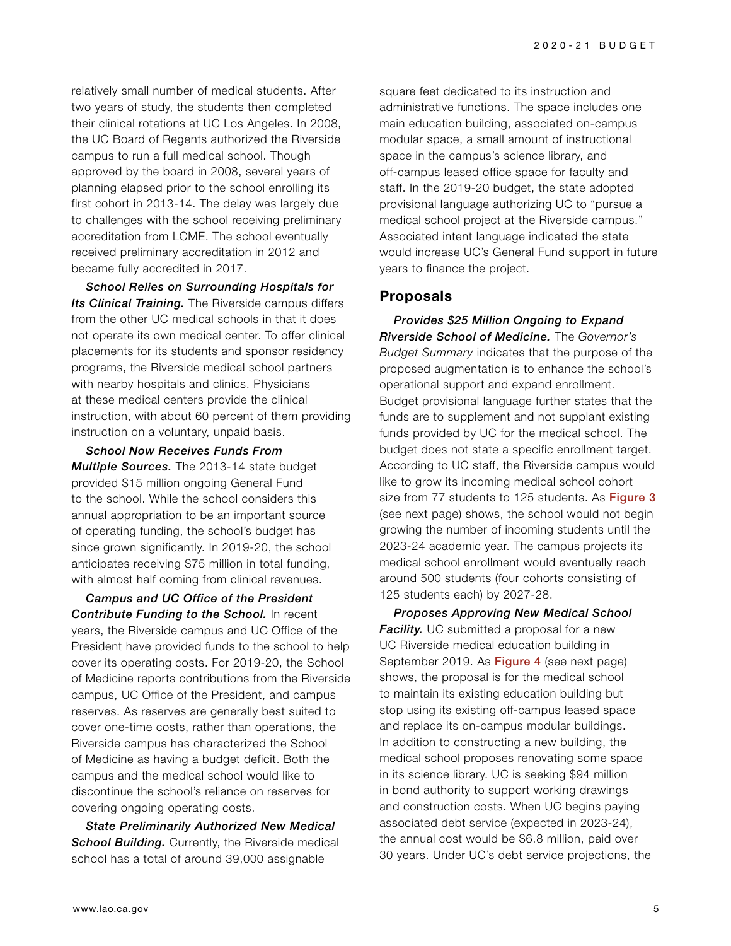relatively small number of medical students. After two years of study, the students then completed their clinical rotations at UC Los Angeles. In 2008, the UC Board of Regents authorized the Riverside campus to run a full medical school. Though approved by the board in 2008, several years of planning elapsed prior to the school enrolling its first cohort in 2013-14. The delay was largely due to challenges with the school receiving preliminary accreditation from LCME. The school eventually received preliminary accreditation in 2012 and became fully accredited in 2017.

*School Relies on Surrounding Hospitals for Its Clinical Training.* The Riverside campus differs from the other UC medical schools in that it does not operate its own medical center. To offer clinical placements for its students and sponsor residency programs, the Riverside medical school partners with nearby hospitals and clinics. Physicians at these medical centers provide the clinical instruction, with about 60 percent of them providing instruction on a voluntary, unpaid basis.

*School Now Receives Funds From Multiple Sources.* The 2013-14 state budget provided \$15 million ongoing General Fund to the school. While the school considers this annual appropriation to be an important source of operating funding, the school's budget has since grown significantly. In 2019-20, the school anticipates receiving \$75 million in total funding, with almost half coming from clinical revenues.

*Campus and UC Office of the President Contribute Funding to the School.* In recent years, the Riverside campus and UC Office of the President have provided funds to the school to help cover its operating costs. For 2019-20, the School of Medicine reports contributions from the Riverside campus, UC Office of the President, and campus reserves. As reserves are generally best suited to cover one-time costs, rather than operations, the Riverside campus has characterized the School of Medicine as having a budget deficit. Both the campus and the medical school would like to discontinue the school's reliance on reserves for covering ongoing operating costs.

*State Preliminarily Authorized New Medical*  **School Building.** Currently, the Riverside medical school has a total of around 39,000 assignable

square feet dedicated to its instruction and administrative functions. The space includes one main education building, associated on-campus modular space, a small amount of instructional space in the campus's science library, and off-campus leased office space for faculty and staff. In the 2019-20 budget, the state adopted provisional language authorizing UC to "pursue a medical school project at the Riverside campus." Associated intent language indicated the state would increase UC's General Fund support in future years to finance the project.

## **Proposals**

*Provides \$25 Million Ongoing to Expand Riverside School of Medicine.* The *Governor's Budget Summary* indicates that the purpose of the proposed augmentation is to enhance the school's operational support and expand enrollment. Budget provisional language further states that the funds are to supplement and not supplant existing funds provided by UC for the medical school. The budget does not state a specific enrollment target. According to UC staff, the Riverside campus would like to grow its incoming medical school cohort size from 77 students to 125 students. As Figure 3 (see next page) shows, the school would not begin growing the number of incoming students until the 2023-24 academic year. The campus projects its medical school enrollment would eventually reach around 500 students (four cohorts consisting of 125 students each) by 2027-28.

*Proposes Approving New Medical School Facility.* UC submitted a proposal for a new UC Riverside medical education building in September 2019. As **Figure 4** (see next page) shows, the proposal is for the medical school to maintain its existing education building but stop using its existing off-campus leased space and replace its on-campus modular buildings. In addition to constructing a new building, the medical school proposes renovating some space in its science library. UC is seeking \$94 million in bond authority to support working drawings and construction costs. When UC begins paying associated debt service (expected in 2023-24), the annual cost would be \$6.8 million, paid over 30 years. Under UC's debt service projections, the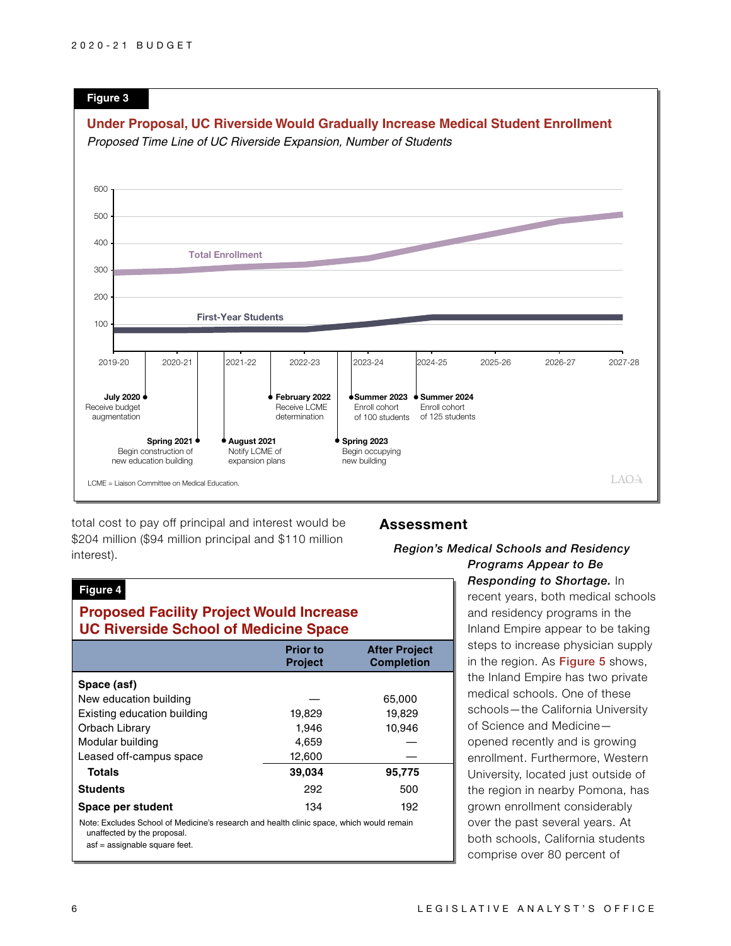

total cost to pay off principal and interest would be \$204 million (\$94 million principal and \$110 million interest).

### **Assessment**

## *Region's Medical Schools and Residency*

#### **Figure 4**

## **Proposed Facility Project Would Increase UC Riverside School of Medicine Space**

|                                                                                                                                                          | <b>Prior to</b><br><b>Project</b> | <b>After Project</b><br><b>Completion</b> |
|----------------------------------------------------------------------------------------------------------------------------------------------------------|-----------------------------------|-------------------------------------------|
| Space (asf)                                                                                                                                              |                                   |                                           |
| New education building                                                                                                                                   |                                   | 65,000                                    |
| Existing education building                                                                                                                              | 19,829                            | 19,829                                    |
| Orbach Library                                                                                                                                           | 1,946                             | 10,946                                    |
| Modular building                                                                                                                                         | 4,659                             |                                           |
| Leased off-campus space                                                                                                                                  | 12,600                            |                                           |
| Totals                                                                                                                                                   | 39,034                            | 95,775                                    |
| <b>Students</b>                                                                                                                                          | 292                               | 500                                       |
| Space per student                                                                                                                                        | 134                               | 192                                       |
| Note: Excludes School of Medicine's research and health clinic space, which would remain<br>unaffected by the proposal.<br>asf = assignable square feet. |                                   |                                           |

*Programs Appear to Be Responding to Shortage.* In recent years, both medical schools and residency programs in the Inland Empire appear to be taking steps to increase physician supply in the region. As Figure 5 shows, the Inland Empire has two private medical schools. One of these schools—the California University of Science and Medicine opened recently and is growing enrollment. Furthermore, Western University, located just outside of the region in nearby Pomona, has grown enrollment considerably over the past several years. At both schools, California students comprise over 80 percent of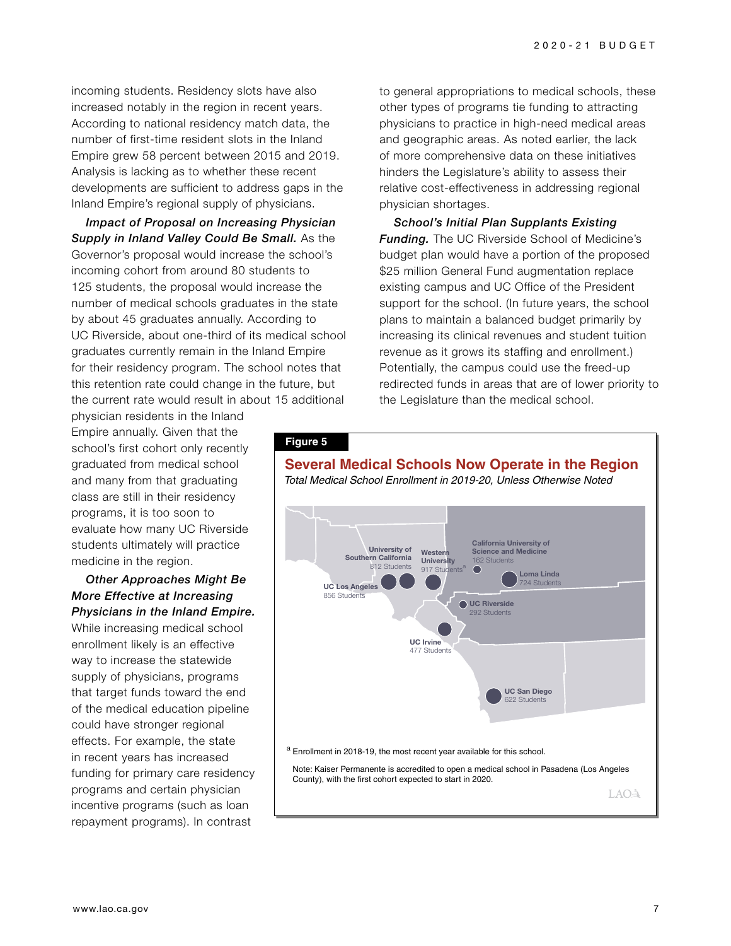incoming students. Residency slots have also increased notably in the region in recent years. According to national residency match data, the number of first-time resident slots in the Inland Empire grew 58 percent between 2015 and 2019. Analysis is lacking as to whether these recent developments are sufficient to address gaps in the Inland Empire's regional supply of physicians.

*Impact of Proposal on Increasing Physician Supply in Inland Valley Could Be Small.* As the Governor's proposal would increase the school's incoming cohort from around 80 students to 125 students, the proposal would increase the number of medical schools graduates in the state by about 45 graduates annually. According to UC Riverside, about one-third of its medical school graduates currently remain in the Inland Empire for their residency program. The school notes that this retention rate could change in the future, but the current rate would result in about 15 additional

to general appropriations to medical schools, these other types of programs tie funding to attracting physicians to practice in high-need medical areas and geographic areas. As noted earlier, the lack of more comprehensive data on these initiatives hinders the Legislature's ability to assess their relative cost-effectiveness in addressing regional physician shortages.

*School's Initial Plan Supplants Existing Funding.* The UC Riverside School of Medicine's budget plan would have a portion of the proposed \$25 million General Fund augmentation replace existing campus and UC Office of the President support for the school. (In future years, the school plans to maintain a balanced budget primarily by increasing its clinical revenues and student tuition revenue as it grows its staffing and enrollment.) Potentially, the campus could use the freed-up redirected funds in areas that are of lower priority to the Legislature than the medical school.

physician residents in the Inland Empire annually. Given that the school's first cohort only recently graduated from medical school and many from that graduating class are still in their residency programs, it is too soon to evaluate how many UC Riverside students ultimately will practice medicine in the region.

#### *Other Approaches Might Be More Effective at Increasing Physicians in the Inland Empire.*

While increasing medical school enrollment likely is an effective way to increase the statewide supply of physicians, programs that target funds toward the end of the medical education pipeline could have stronger regional effects. For example, the state in recent years has increased funding for primary care residency programs and certain physician incentive programs (such as loan repayment programs). In contrast

#### **Figure 5**



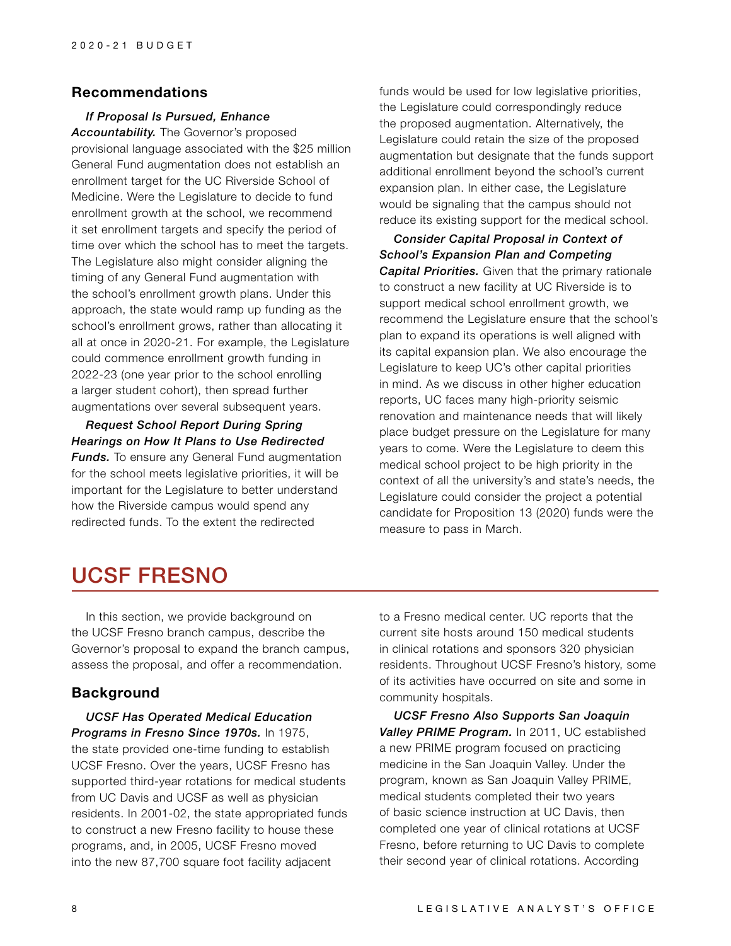## **Recommendations**

#### *If Proposal Is Pursued, Enhance*

*Accountability.* The Governor's proposed provisional language associated with the \$25 million General Fund augmentation does not establish an enrollment target for the UC Riverside School of Medicine. Were the Legislature to decide to fund enrollment growth at the school, we recommend it set enrollment targets and specify the period of time over which the school has to meet the targets. The Legislature also might consider aligning the timing of any General Fund augmentation with the school's enrollment growth plans. Under this approach, the state would ramp up funding as the school's enrollment grows, rather than allocating it all at once in 2020-21. For example, the Legislature could commence enrollment growth funding in 2022-23 (one year prior to the school enrolling a larger student cohort), then spread further augmentations over several subsequent years.

*Request School Report During Spring Hearings on How It Plans to Use Redirected Funds.* To ensure any General Fund augmentation for the school meets legislative priorities, it will be important for the Legislature to better understand how the Riverside campus would spend any redirected funds. To the extent the redirected

funds would be used for low legislative priorities, the Legislature could correspondingly reduce the proposed augmentation. Alternatively, the Legislature could retain the size of the proposed augmentation but designate that the funds support additional enrollment beyond the school's current expansion plan. In either case, the Legislature would be signaling that the campus should not reduce its existing support for the medical school.

*Consider Capital Proposal in Context of School's Expansion Plan and Competing Capital Priorities.* Given that the primary rationale to construct a new facility at UC Riverside is to support medical school enrollment growth, we recommend the Legislature ensure that the school's plan to expand its operations is well aligned with its capital expansion plan. We also encourage the Legislature to keep UC's other capital priorities in mind. As we discuss in other higher education reports, UC faces many high-priority seismic renovation and maintenance needs that will likely place budget pressure on the Legislature for many years to come. Were the Legislature to deem this medical school project to be high priority in the context of all the university's and state's needs, the Legislature could consider the project a potential candidate for Proposition 13 (2020) funds were the measure to pass in March.

## UCSF FRESNO

In this section, we provide background on the UCSF Fresno branch campus, describe the Governor's proposal to expand the branch campus, assess the proposal, and offer a recommendation.

### **Background**

*UCSF Has Operated Medical Education Programs in Fresno Since 1970s.* In 1975, the state provided one-time funding to establish UCSF Fresno. Over the years, UCSF Fresno has supported third-year rotations for medical students from UC Davis and UCSF as well as physician residents. In 2001-02, the state appropriated funds to construct a new Fresno facility to house these programs, and, in 2005, UCSF Fresno moved into the new 87,700 square foot facility adjacent

to a Fresno medical center. UC reports that the current site hosts around 150 medical students in clinical rotations and sponsors 320 physician residents. Throughout UCSF Fresno's history, some of its activities have occurred on site and some in community hospitals.

*UCSF Fresno Also Supports San Joaquin Valley PRIME Program.* In 2011, UC established a new PRIME program focused on practicing medicine in the San Joaquin Valley. Under the program, known as San Joaquin Valley PRIME, medical students completed their two years of basic science instruction at UC Davis, then completed one year of clinical rotations at UCSF Fresno, before returning to UC Davis to complete their second year of clinical rotations. According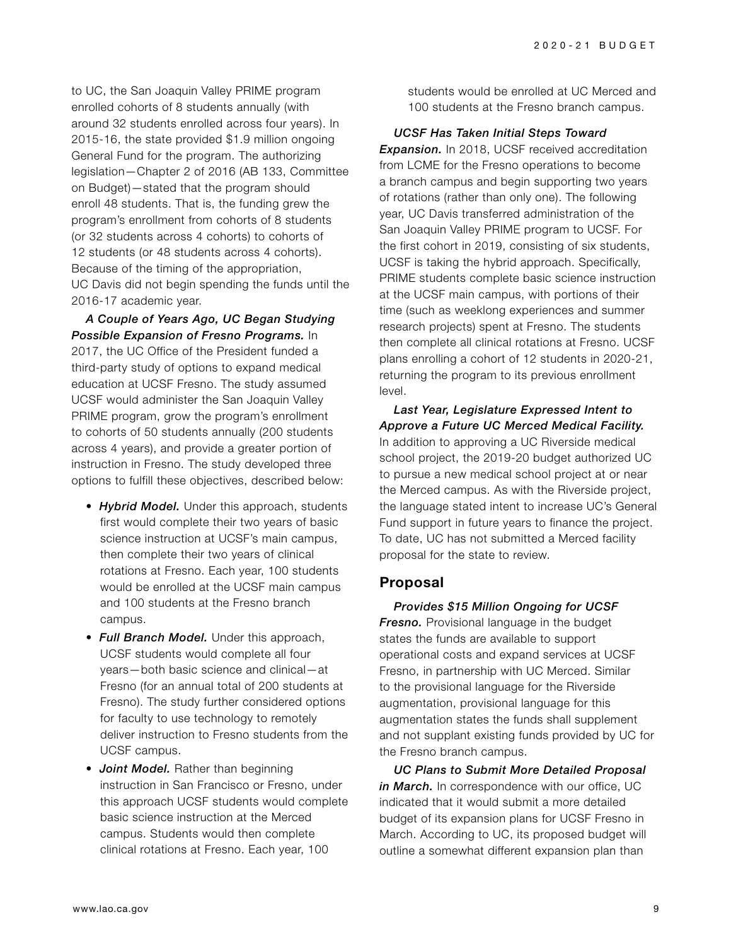to UC, the San Joaquin Valley PRIME program enrolled cohorts of 8 students annually (with around 32 students enrolled across four years). In 2015-16, the state provided \$1.9 million ongoing General Fund for the program. The authorizing legislation—Chapter 2 of 2016 (AB 133, Committee on Budget)—stated that the program should enroll 48 students. That is, the funding grew the program's enrollment from cohorts of 8 students (or 32 students across 4 cohorts) to cohorts of 12 students (or 48 students across 4 cohorts). Because of the timing of the appropriation, UC Davis did not begin spending the funds until the 2016-17 academic year.

*A Couple of Years Ago, UC Began Studying Possible Expansion of Fresno Programs.* In 2017, the UC Office of the President funded a third-party study of options to expand medical education at UCSF Fresno. The study assumed UCSF would administer the San Joaquin Valley PRIME program, grow the program's enrollment to cohorts of 50 students annually (200 students across 4 years), and provide a greater portion of instruction in Fresno. The study developed three options to fulfill these objectives, described below:

- *Hybrid Model.* Under this approach, students first would complete their two years of basic science instruction at UCSF's main campus, then complete their two years of clinical rotations at Fresno. Each year, 100 students would be enrolled at the UCSF main campus and 100 students at the Fresno branch campus.
- *Full Branch Model.* Under this approach, UCSF students would complete all four years—both basic science and clinical—at Fresno (for an annual total of 200 students at Fresno). The study further considered options for faculty to use technology to remotely deliver instruction to Fresno students from the UCSF campus.
- *Joint Model.* Rather than beginning instruction in San Francisco or Fresno, under this approach UCSF students would complete basic science instruction at the Merced campus. Students would then complete clinical rotations at Fresno. Each year, 100

students would be enrolled at UC Merced and 100 students at the Fresno branch campus.

*UCSF Has Taken Initial Steps Toward* 

**Expansion.** In 2018, UCSF received accreditation from LCME for the Fresno operations to become a branch campus and begin supporting two years of rotations (rather than only one). The following year, UC Davis transferred administration of the San Joaquin Valley PRIME program to UCSF. For the first cohort in 2019, consisting of six students, UCSF is taking the hybrid approach. Specifically, PRIME students complete basic science instruction at the UCSF main campus, with portions of their time (such as weeklong experiences and summer research projects) spent at Fresno. The students then complete all clinical rotations at Fresno. UCSF plans enrolling a cohort of 12 students in 2020-21, returning the program to its previous enrollment level.

*Last Year, Legislature Expressed Intent to Approve a Future UC Merced Medical Facility.*  In addition to approving a UC Riverside medical school project, the 2019-20 budget authorized UC to pursue a new medical school project at or near the Merced campus. As with the Riverside project, the language stated intent to increase UC's General Fund support in future years to finance the project. To date, UC has not submitted a Merced facility proposal for the state to review.

## **Proposal**

*Provides \$15 Million Ongoing for UCSF*  **Fresno.** Provisional language in the budget states the funds are available to support operational costs and expand services at UCSF Fresno, in partnership with UC Merced. Similar to the provisional language for the Riverside augmentation, provisional language for this augmentation states the funds shall supplement and not supplant existing funds provided by UC for the Fresno branch campus.

*UC Plans to Submit More Detailed Proposal in March.* In correspondence with our office, UC indicated that it would submit a more detailed budget of its expansion plans for UCSF Fresno in March. According to UC, its proposed budget will outline a somewhat different expansion plan than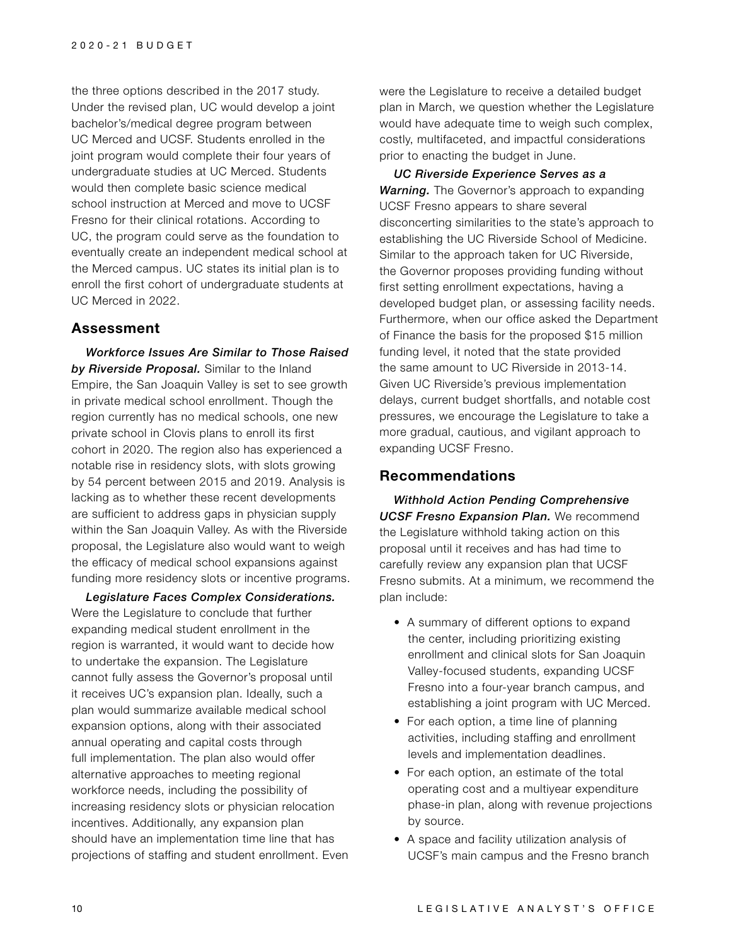the three options described in the 2017 study. Under the revised plan, UC would develop a joint bachelor's/medical degree program between UC Merced and UCSF. Students enrolled in the joint program would complete their four years of undergraduate studies at UC Merced. Students would then complete basic science medical school instruction at Merced and move to UCSF Fresno for their clinical rotations. According to UC, the program could serve as the foundation to eventually create an independent medical school at the Merced campus. UC states its initial plan is to enroll the first cohort of undergraduate students at UC Merced in 2022.

#### **Assessment**

*Workforce Issues Are Similar to Those Raised by Riverside Proposal.* Similar to the Inland Empire, the San Joaquin Valley is set to see growth in private medical school enrollment. Though the region currently has no medical schools, one new private school in Clovis plans to enroll its first cohort in 2020. The region also has experienced a notable rise in residency slots, with slots growing by 54 percent between 2015 and 2019. Analysis is lacking as to whether these recent developments are sufficient to address gaps in physician supply within the San Joaquin Valley. As with the Riverside proposal, the Legislature also would want to weigh the efficacy of medical school expansions against funding more residency slots or incentive programs.

*Legislature Faces Complex Considerations.*  Were the Legislature to conclude that further expanding medical student enrollment in the region is warranted, it would want to decide how to undertake the expansion. The Legislature cannot fully assess the Governor's proposal until it receives UC's expansion plan. Ideally, such a plan would summarize available medical school expansion options, along with their associated annual operating and capital costs through full implementation. The plan also would offer alternative approaches to meeting regional workforce needs, including the possibility of increasing residency slots or physician relocation incentives. Additionally, any expansion plan should have an implementation time line that has projections of staffing and student enrollment. Even

were the Legislature to receive a detailed budget plan in March, we question whether the Legislature would have adequate time to weigh such complex, costly, multifaceted, and impactful considerations prior to enacting the budget in June.

*UC Riverside Experience Serves as a Warning.* The Governor's approach to expanding UCSF Fresno appears to share several disconcerting similarities to the state's approach to establishing the UC Riverside School of Medicine. Similar to the approach taken for UC Riverside, the Governor proposes providing funding without first setting enrollment expectations, having a developed budget plan, or assessing facility needs. Furthermore, when our office asked the Department of Finance the basis for the proposed \$15 million funding level, it noted that the state provided the same amount to UC Riverside in 2013-14. Given UC Riverside's previous implementation delays, current budget shortfalls, and notable cost pressures, we encourage the Legislature to take a more gradual, cautious, and vigilant approach to expanding UCSF Fresno.

### **Recommendations**

*Withhold Action Pending Comprehensive UCSF Fresno Expansion Plan.* We recommend the Legislature withhold taking action on this proposal until it receives and has had time to carefully review any expansion plan that UCSF Fresno submits. At a minimum, we recommend the plan include:

- A summary of different options to expand the center, including prioritizing existing enrollment and clinical slots for San Joaquin Valley-focused students, expanding UCSF Fresno into a four-year branch campus, and establishing a joint program with UC Merced.
- For each option, a time line of planning activities, including staffing and enrollment levels and implementation deadlines.
- For each option, an estimate of the total operating cost and a multiyear expenditure phase-in plan, along with revenue projections by source.
- A space and facility utilization analysis of UCSF's main campus and the Fresno branch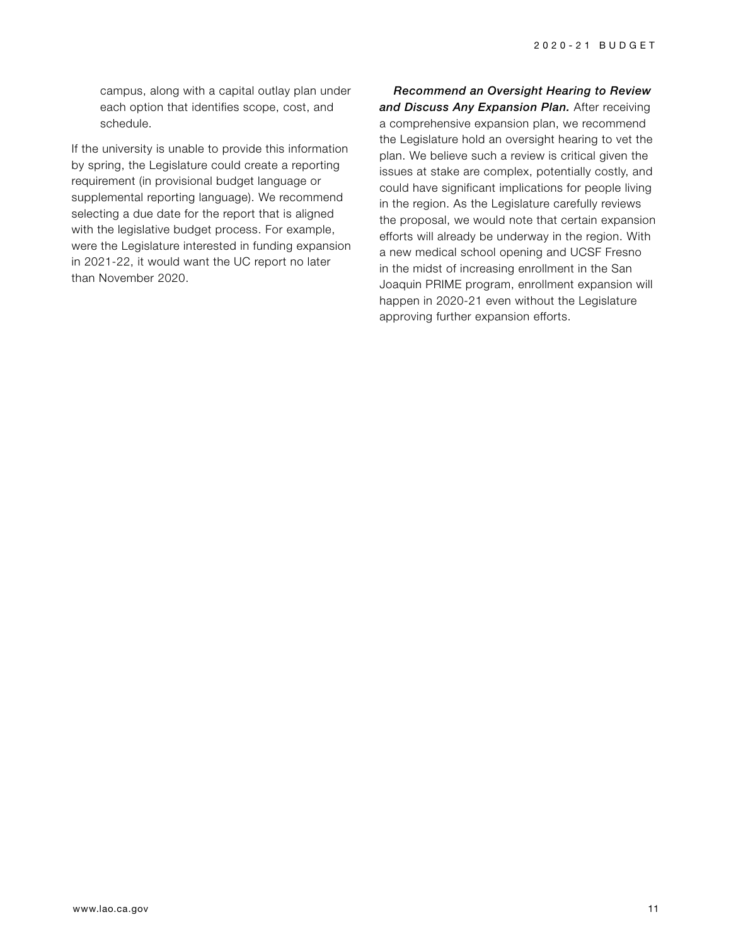campus, along with a capital outlay plan under each option that identifies scope, cost, and schedule.

If the university is unable to provide this information by spring, the Legislature could create a reporting requirement (in provisional budget language or supplemental reporting language). We recommend selecting a due date for the report that is aligned with the legislative budget process. For example, were the Legislature interested in funding expansion in 2021-22, it would want the UC report no later than November 2020.

*Recommend an Oversight Hearing to Review and Discuss Any Expansion Plan.* After receiving a comprehensive expansion plan, we recommend the Legislature hold an oversight hearing to vet the plan. We believe such a review is critical given the issues at stake are complex, potentially costly, and could have significant implications for people living in the region. As the Legislature carefully reviews the proposal, we would note that certain expansion efforts will already be underway in the region. With a new medical school opening and UCSF Fresno in the midst of increasing enrollment in the San Joaquin PRIME program, enrollment expansion will happen in 2020-21 even without the Legislature approving further expansion efforts.